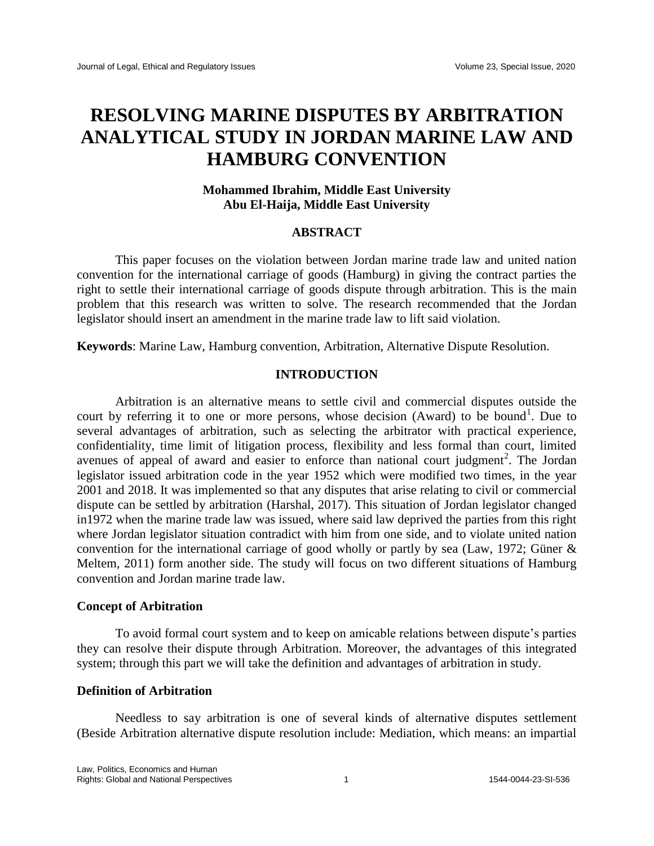# **RESOLVING MARINE DISPUTES BY ARBITRATION ANALYTICAL STUDY IN JORDAN MARINE LAW AND HAMBURG CONVENTION**

# **Mohammed Ibrahim, Middle East University Abu El-Haija, Middle East University**

## **ABSTRACT**

This paper focuses on the violation between Jordan marine trade law and united nation convention for the international carriage of goods (Hamburg) in giving the contract parties the right to settle their international carriage of goods dispute through arbitration. This is the main problem that this research was written to solve. The research recommended that the Jordan legislator should insert an amendment in the marine trade law to lift said violation.

**Keywords**: Marine Law, Hamburg convention, Arbitration, Alternative Dispute Resolution.

# **INTRODUCTION**

Arbitration is an alternative means to settle civil and commercial disputes outside the court by referring it to one or more persons, whose decision (Award) to be bound<sup>1</sup>. Due to several advantages of arbitration, such as selecting the arbitrator with practical experience, confidentiality, time limit of litigation process, flexibility and less formal than court, limited avenues of appeal of award and easier to enforce than national court judgment<sup>2</sup>. The Jordan legislator issued arbitration code in the year 1952 which were modified two times, in the year 2001 and 2018. It was implemented so that any disputes that arise relating to civil or commercial dispute can be settled by arbitration (Harshal, 2017). This situation of Jordan legislator changed in1972 when the marine trade law was issued, where said law deprived the parties from this right where Jordan legislator situation contradict with him from one side, and to violate united nation convention for the international carriage of good wholly or partly by sea (Law, 1972; Güner & Meltem, 2011) form another side. The study will focus on two different situations of Hamburg convention and Jordan marine trade law.

## **Concept of Arbitration**

To avoid formal court system and to keep on amicable relations between dispute's parties they can resolve their dispute through Arbitration. Moreover, the advantages of this integrated system; through this part we will take the definition and advantages of arbitration in study.

## **Definition of Arbitration**

Needless to say arbitration is one of several kinds of alternative disputes settlement (Beside Arbitration alternative dispute resolution include: Mediation, which means: an impartial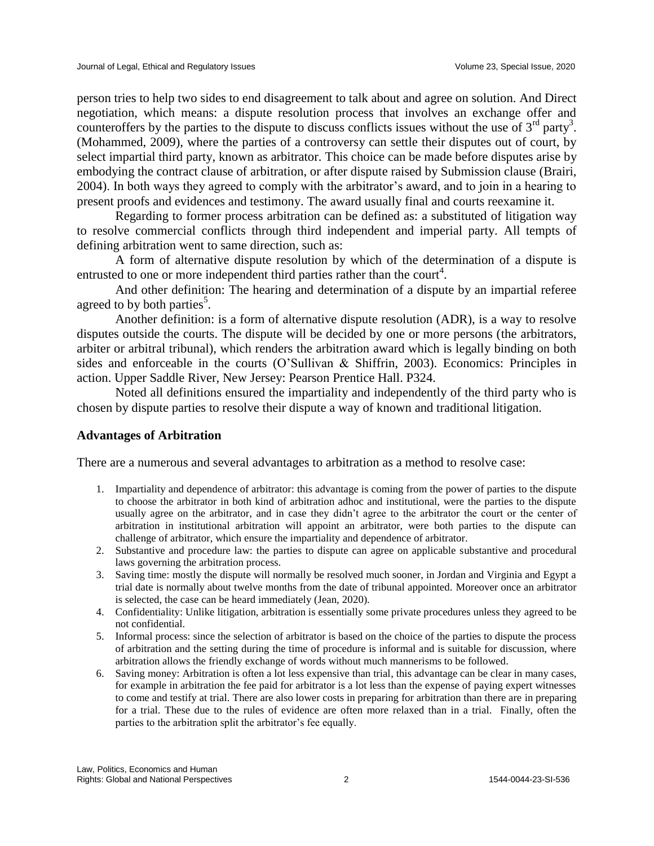person tries to help two sides to end disagreement to talk about and agree on solution. And Direct negotiation, which means: a dispute resolution process that involves an exchange offer and counteroffers by the parties to the dispute to discuss conflicts issues without the use of  $3<sup>rd</sup>$  party<sup>3</sup>. (Mohammed, 2009), where the parties of a controversy can settle their disputes out of court, by select impartial third party, known as arbitrator. This choice can be made before disputes arise by embodying the contract clause of arbitration, or after dispute raised by Submission clause (Brairi, 2004). In both ways they agreed to comply with the arbitrator's award, and to join in a hearing to present proofs and evidences and testimony. The award usually final and courts reexamine it.

Regarding to former process arbitration can be defined as: a substituted of litigation way to resolve commercial conflicts through third independent and imperial party. All tempts of defining arbitration went to same direction, such as:

A form of alternative dispute resolution by which of the determination of a dispute is entrusted to one or more independent third parties rather than the court<sup>4</sup>.

And other definition: The hearing and determination of a dispute by an impartial referee agreed to by both parties<sup>5</sup>.

Another definition: is a form of alternative dispute resolution (ADR), is a way to resolve disputes outside the courts. The dispute will be decided by one or more persons (the arbitrators, arbiter or arbitral tribunal), which renders the arbitration award which is legally binding on both sides and enforceable in the courts (O'Sullivan & Shiffrin, 2003). Economics: Principles in action. Upper Saddle River, New Jersey: Pearson Prentice Hall. P324.

Noted all definitions ensured the impartiality and independently of the third party who is chosen by dispute parties to resolve their dispute a way of known and traditional litigation.

### **Advantages of Arbitration**

There are a numerous and several advantages to arbitration as a method to resolve case:

- 1. Impartiality and dependence of arbitrator: this advantage is coming from the power of parties to the dispute to choose the arbitrator in both kind of arbitration adhoc and institutional, were the parties to the dispute usually agree on the arbitrator, and in case they didn't agree to the arbitrator the court or the center of arbitration in institutional arbitration will appoint an arbitrator, were both parties to the dispute can challenge of arbitrator, which ensure the impartiality and dependence of arbitrator.
- 2. Substantive and procedure law: the parties to dispute can agree on applicable substantive and procedural laws governing the arbitration process.
- 3. Saving time: mostly the dispute will normally be resolved much sooner, in Jordan and Virginia and Egypt a trial date is normally about twelve months from the date of tribunal appointed. Moreover once an arbitrator is selected, the case can be heard immediately (Jean, 2020).
- 4. Confidentiality: Unlike litigation, arbitration is essentially some private procedures unless they agreed to be not confidential.
- 5. Informal process: since the selection of arbitrator is based on the choice of the parties to dispute the process of arbitration and the setting during the time of procedure is informal and is suitable for discussion, where arbitration allows the friendly exchange of words without much mannerisms to be followed.
- 6. Saving money: Arbitration is often a lot less expensive than trial, this advantage can be clear in many cases, for example in arbitration the fee paid for arbitrator is a lot less than the expense of paying expert witnesses to come and testify at trial. There are also lower costs in preparing for arbitration than there are in preparing for a trial. These due to the rules of evidence are often more relaxed than in a trial. Finally, often the parties to the arbitration split the arbitrator's fee equally.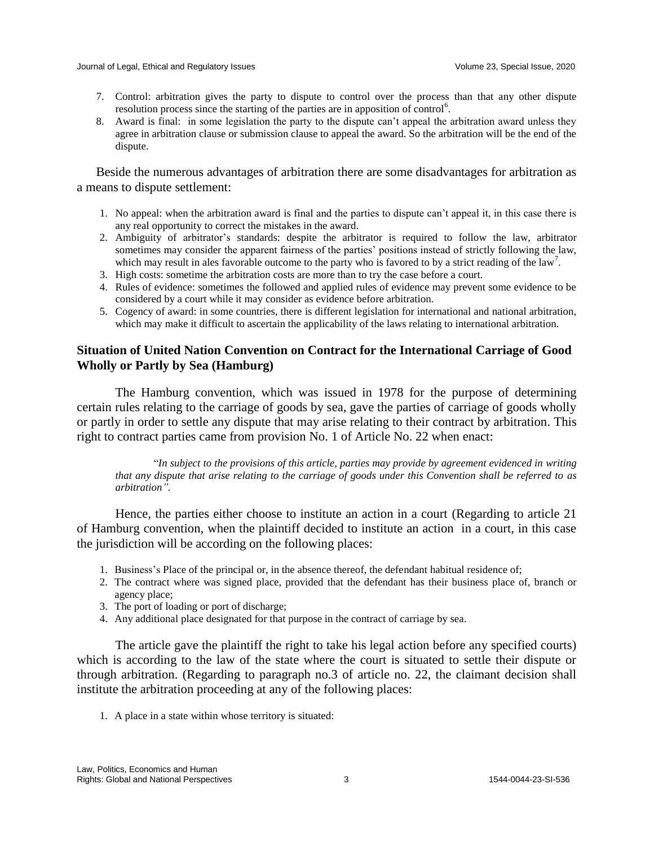- 7. Control: arbitration gives the party to dispute to control over the process than that any other dispute resolution process since the starting of the parties are in apposition of control<sup>6</sup>.
- 8. Award is final: in some legislation the party to the dispute can't appeal the arbitration award unless they agree in arbitration clause or submission clause to appeal the award. So the arbitration will be the end of the dispute.

Beside the numerous advantages of arbitration there are some disadvantages for arbitration as a means to dispute settlement:

- 1. No appeal: when the arbitration award is final and the parties to dispute can't appeal it, in this case there is any real opportunity to correct the mistakes in the award.
- 2. Ambiguity of arbitrator's standards: despite the arbitrator is required to follow the law, arbitrator sometimes may consider the apparent fairness of the parties' positions instead of strictly following the law, which may result in ales favorable outcome to the party who is favored to by a strict reading of the law<sup>7</sup>.
- 3. High costs: sometime the arbitration costs are more than to try the case before a court.
- 4. Rules of evidence: sometimes the followed and applied rules of evidence may prevent some evidence to be considered by a court while it may consider as evidence before arbitration.
- 5. Cogency of award: in some countries, there is different legislation for international and national arbitration, which may make it difficult to ascertain the applicability of the laws relating to international arbitration.

# **Situation of United Nation Convention on Contract for the International Carriage of Good Wholly or Partly by Sea (Hamburg)**

The Hamburg convention, which was issued in 1978 for the purpose of determining certain rules relating to the carriage of goods by sea, gave the parties of carriage of goods wholly or partly in order to settle any dispute that may arise relating to their contract by arbitration. This right to contract parties came from provision No. 1 of Article No. 22 when enact:

"*In subject to the provisions of this article, parties may provide by agreement evidenced in writing that any dispute that arise relating to the carriage of goods under this Convention shall be referred to as arbitration".* 

Hence, the parties either choose to institute an action in a court (Regarding to article 21 of Hamburg convention, when the plaintiff decided to institute an action in a court, in this case the jurisdiction will be according on the following places:

- 1. Business's Place of the principal or, in the absence thereof, the defendant habitual residence of;
- 2. The contract where was signed place, provided that the defendant has their business place of, branch or agency place;
- 3. The port of loading or port of discharge;
- 4. Any additional place designated for that purpose in the contract of carriage by sea.

The article gave the plaintiff the right to take his legal action before any specified courts) which is according to the law of the state where the court is situated to settle their dispute or through arbitration. (Regarding to paragraph no.3 of article no. 22, the claimant decision shall institute the arbitration proceeding at any of the following places:

1. A place in a state within whose territory is situated: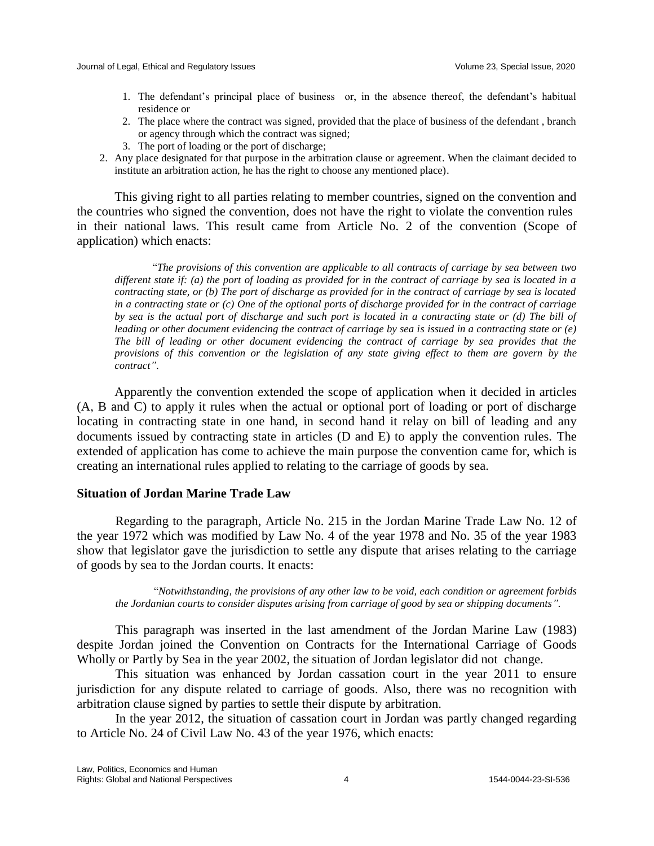- 1. The defendant's principal place of business or, in the absence thereof, the defendant's habitual residence or
- 2. The place where the contract was signed, provided that the place of business of the defendant , branch or agency through which the contract was signed;
- 3. The port of loading or the port of discharge;
- 2. Any place designated for that purpose in the arbitration clause or agreement. When the claimant decided to institute an arbitration action, he has the right to choose any mentioned place).

This giving right to all parties relating to member countries, signed on the convention and the countries who signed the convention, does not have the right to violate the convention rules in their national laws. This result came from Article No. 2 of the convention (Scope of application) which enacts:

"*The provisions of this convention are applicable to all contracts of carriage by sea between two different state if: (a) the port of loading as provided for in the contract of carriage by sea is located in a contracting state, or (b) The port of discharge as provided for in the contract of carriage by sea is located in a contracting state or (c) One of the optional ports of discharge provided for in the contract of carriage by sea is the actual port of discharge and such port is located in a contracting state or (d) The bill of leading or other document evidencing the contract of carriage by sea is issued in a contracting state or (e) The bill of leading or other document evidencing the contract of carriage by sea provides that the provisions of this convention or the legislation of any state giving effect to them are govern by the contract"*.

Apparently the convention extended the scope of application when it decided in articles (A, B and C) to apply it rules when the actual or optional port of loading or port of discharge locating in contracting state in one hand, in second hand it relay on bill of leading and any documents issued by contracting state in articles (D and E) to apply the convention rules. The extended of application has come to achieve the main purpose the convention came for, which is creating an international rules applied to relating to the carriage of goods by sea.

# **Situation of Jordan Marine Trade Law**

Regarding to the paragraph, Article No. 215 in the Jordan Marine Trade Law No. 12 of the year 1972 which was modified by Law No. 4 of the year 1978 and No. 35 of the year 1983 show that legislator gave the jurisdiction to settle any dispute that arises relating to the carriage of goods by sea to the Jordan courts. It enacts:

"*Notwithstanding, the provisions of any other law to be void, each condition or agreement forbids the Jordanian courts to consider disputes arising from carriage of good by sea or shipping documents".*

This paragraph was inserted in the last amendment of the Jordan Marine Law (1983) despite Jordan joined the Convention on Contracts for the International Carriage of Goods Wholly or Partly by Sea in the year 2002, the situation of Jordan legislator did not change.

This situation was enhanced by Jordan cassation court in the year 2011 to ensure jurisdiction for any dispute related to carriage of goods. Also, there was no recognition with arbitration clause signed by parties to settle their dispute by arbitration.

In the year 2012, the situation of cassation court in Jordan was partly changed regarding to Article No. 24 of Civil Law No. 43 of the year 1976, which enacts: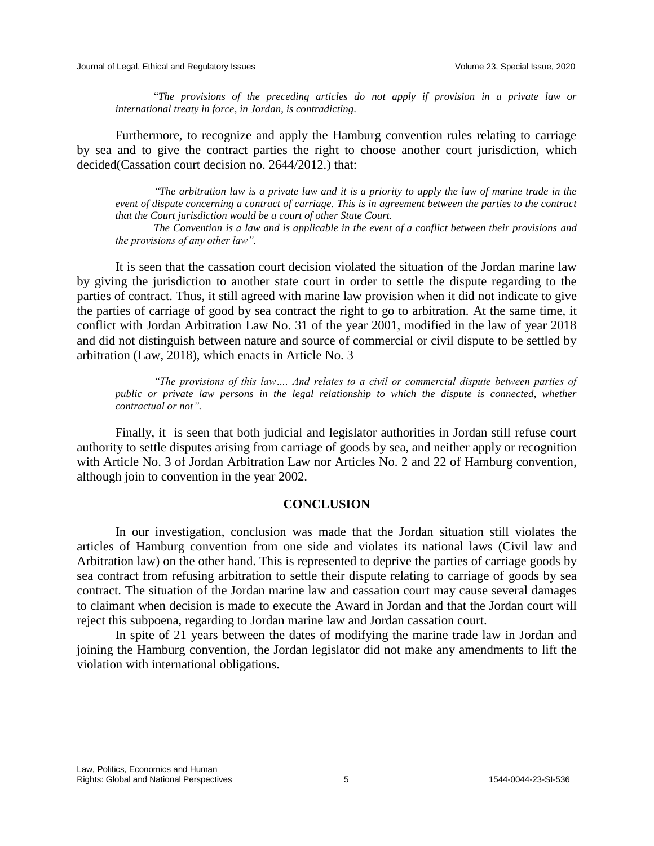"*The provisions of the preceding articles do not apply if provision in a private law or international treaty in force, in Jordan, is contradicting*.

Furthermore, to recognize and apply the Hamburg convention rules relating to carriage by sea and to give the contract parties the right to choose another court jurisdiction, which decided(Cassation court decision no. 2644/2012.) that:

*"The arbitration law is a private law and it is a priority to apply the law of marine trade in the event of dispute concerning a contract of carriage. This is in agreement between the parties to the contract that the Court jurisdiction would be a court of other State Court.* 

*The Convention is a law and is applicable in the event of a conflict between their provisions and the provisions of any other law".*

It is seen that the cassation court decision violated the situation of the Jordan marine law by giving the jurisdiction to another state court in order to settle the dispute regarding to the parties of contract. Thus, it still agreed with marine law provision when it did not indicate to give the parties of carriage of good by sea contract the right to go to arbitration. At the same time, it conflict with Jordan Arbitration Law No. 31 of the year 2001, modified in the law of year 2018 and did not distinguish between nature and source of commercial or civil dispute to be settled by arbitration (Law, 2018), which enacts in Article No. 3

*"The provisions of this law…. And relates to a civil or commercial dispute between parties of public or private law persons in the legal relationship to which the dispute is connected, whether contractual or not".*

Finally, it is seen that both judicial and legislator authorities in Jordan still refuse court authority to settle disputes arising from carriage of goods by sea, and neither apply or recognition with Article No. 3 of Jordan Arbitration Law nor Articles No. 2 and 22 of Hamburg convention, although join to convention in the year 2002.

## **CONCLUSION**

In our investigation, conclusion was made that the Jordan situation still violates the articles of Hamburg convention from one side and violates its national laws (Civil law and Arbitration law) on the other hand. This is represented to deprive the parties of carriage goods by sea contract from refusing arbitration to settle their dispute relating to carriage of goods by sea contract. The situation of the Jordan marine law and cassation court may cause several damages to claimant when decision is made to execute the Award in Jordan and that the Jordan court will reject this subpoena, regarding to Jordan marine law and Jordan cassation court.

In spite of 21 years between the dates of modifying the marine trade law in Jordan and joining the Hamburg convention, the Jordan legislator did not make any amendments to lift the violation with international obligations.